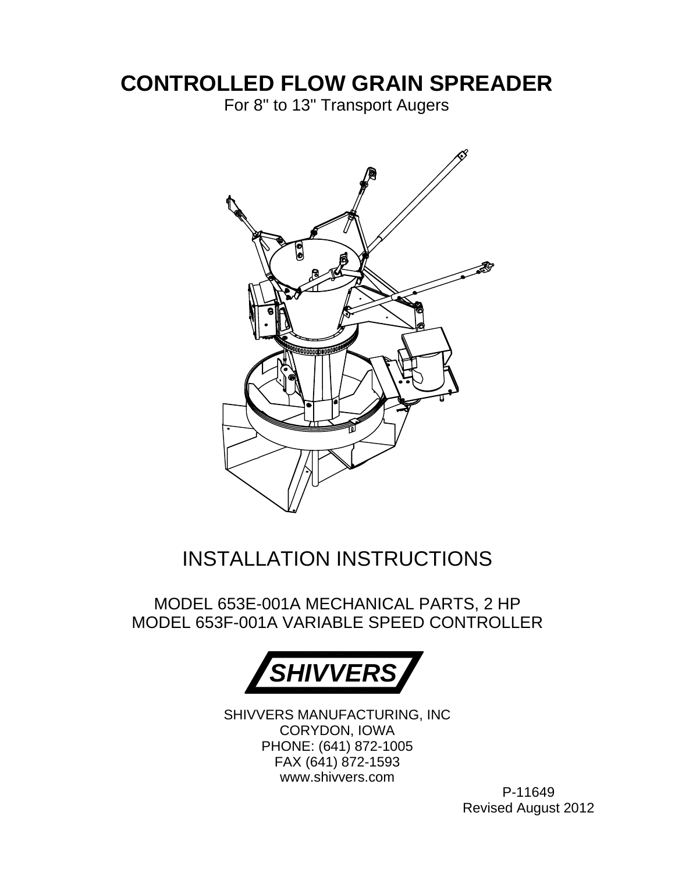### **CONTROLLED FLOW GRAIN SPREADER**

For 8" to 13" Transport Augers



#### INSTALLATION INSTRUCTIONS

#### MODEL 653E-001A MECHANICAL PARTS, 2 HP MODEL 653F-001A VARIABLE SPEED CONTROLLER



SHIVVERS MANUFACTURING, INC CORYDON, IOWA PHONE: (641) 872-1005 FAX (641) 872-1593 www.shivvers.com

P-11649 Revised August 2012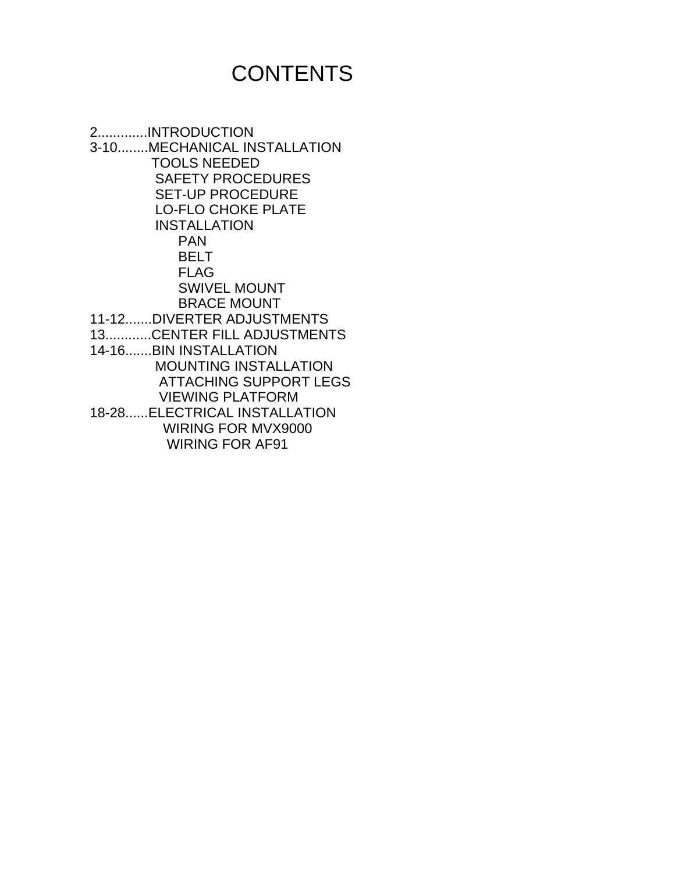#### **CONTENTS**

2.............INTRODUCTION 3-10........MECHANICAL INSTALLATION TOOLS NEEDED SAFETY PROCEDURES SET-UP PROCEDURE LO-FLO CHOKE PLATE INSTALLATION PAN BELT FLAG SWIVEL MOUNT BRACE MOUNT 11-12.......DIVERTER ADJUSTMENTS 13............CENTER FILL ADJUSTMENTS 14-16.......BIN INSTALLATION MOUNTING INSTALLATION ATTACHING SUPPORT LEGS VIEWING PLATFORM 18-28......ELECTRICAL INSTALLATION WIRING FOR MVX9000 WIRING FOR AF91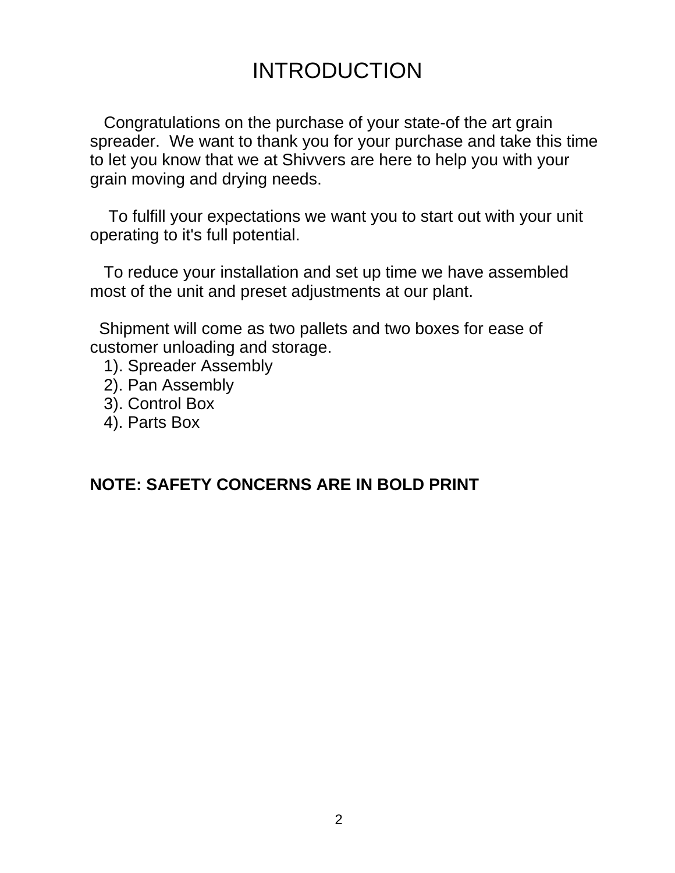### INTRODUCTION

 Congratulations on the purchase of your state-of the art grain spreader. We want to thank you for your purchase and take this time to let you know that we at Shivvers are here to help you with your grain moving and drying needs.

 To fulfill your expectations we want you to start out with your unit operating to it's full potential.

 To reduce your installation and set up time we have assembled most of the unit and preset adjustments at our plant.

 Shipment will come as two pallets and two boxes for ease of customer unloading and storage.

- 1). Spreader Assembly
- 2). Pan Assembly
- 3). Control Box
- 4). Parts Box

#### **NOTE: SAFETY CONCERNS ARE IN BOLD PRINT**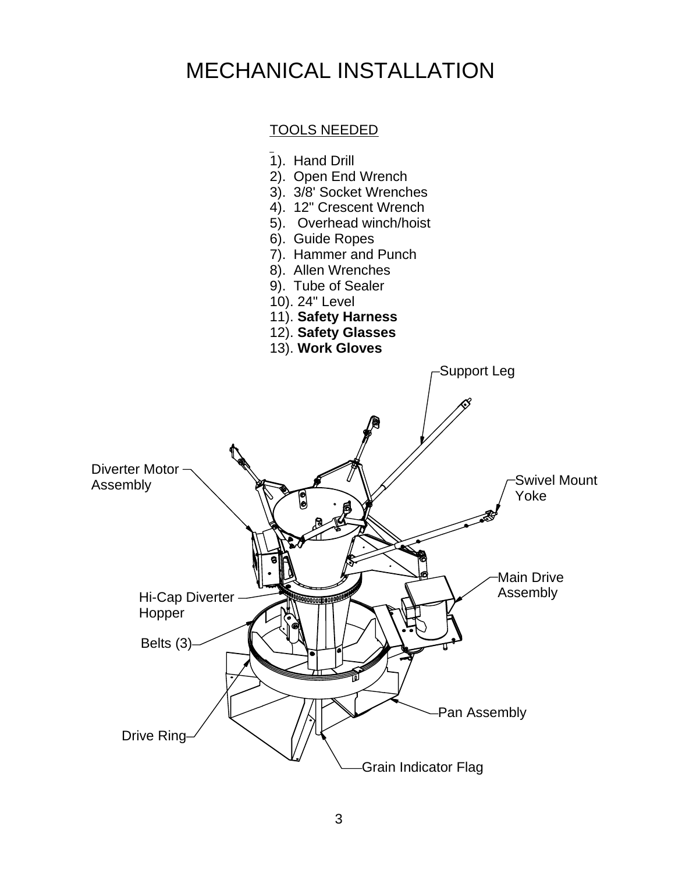#### TOOLS NEEDED

- 1). Hand Drill
- 2). Open End Wrench
- 3). 3/8' Socket Wrenches
- 4). 12" Crescent Wrench
- 5). Overhead winch/hoist
- 6). Guide Ropes
- 7). Hammer and Punch
- 8). Allen Wrenches
- 9). Tube of Sealer
- 10). 24" Level
- 11). **Safety Harness**
- 12). **Safety Glasses**
- 13). **Work Gloves**

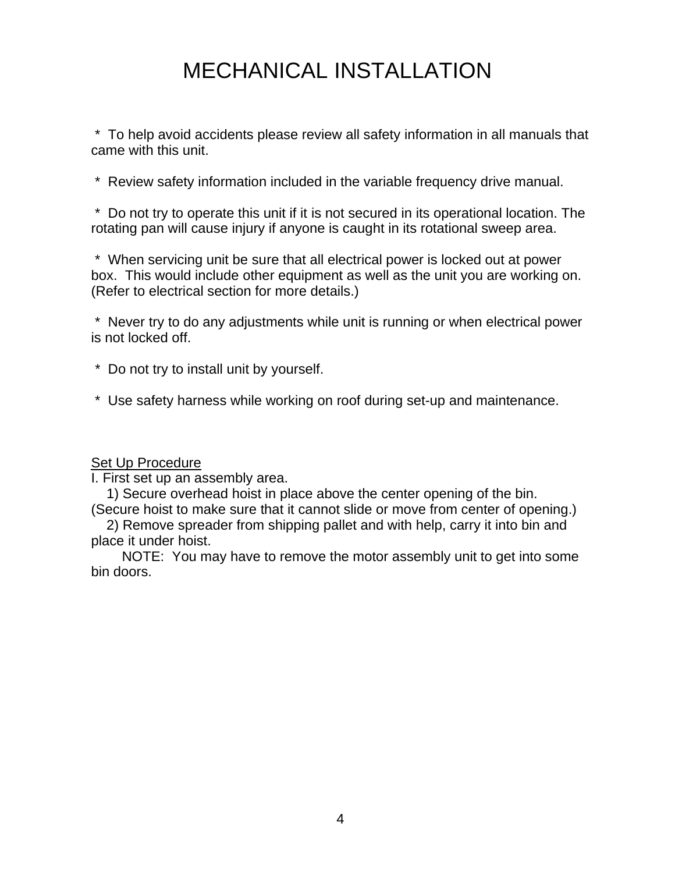\* To help avoid accidents please review all safety information in all manuals that came with this unit.

\* Review safety information included in the variable frequency drive manual.

 \* Do not try to operate this unit if it is not secured in its operational location. The rotating pan will cause injury if anyone is caught in its rotational sweep area.

 \* When servicing unit be sure that all electrical power is locked out at power box. This would include other equipment as well as the unit you are working on. (Refer to electrical section for more details.)

 \* Never try to do any adjustments while unit is running or when electrical power is not locked off.

- \* Do not try to install unit by yourself.
- \* Use safety harness while working on roof during set-up and maintenance.

#### Set Up Procedure

I. First set up an assembly area.

1) Secure overhead hoist in place above the center opening of the bin.

(Secure hoist to make sure that it cannot slide or move from center of opening.) 2) Remove spreader from shipping pallet and with help, carry it into bin and

place it under hoist.

 NOTE: You may have to remove the motor assembly unit to get into some bin doors.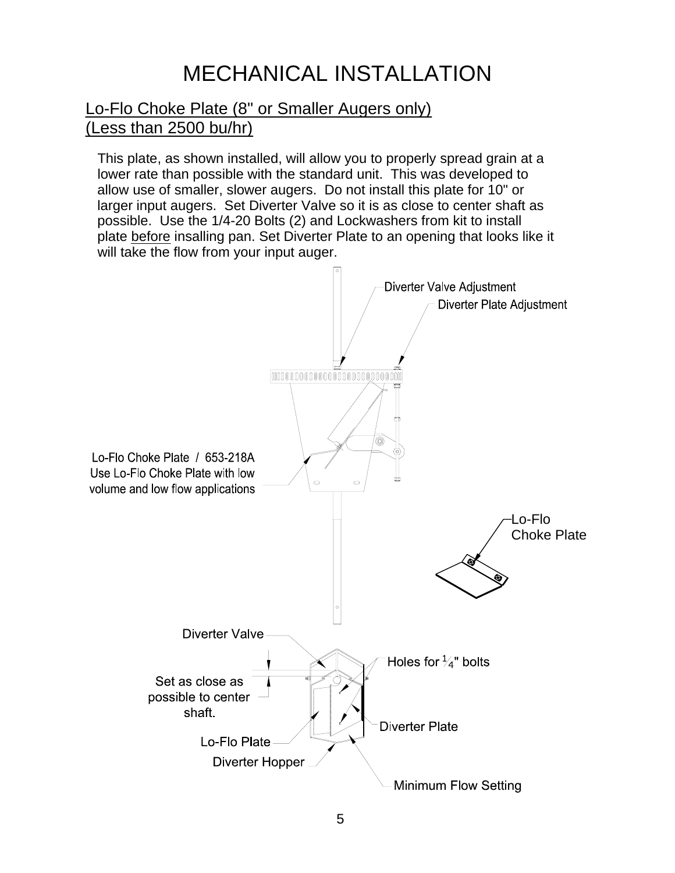#### Lo-Flo Choke Plate (8" or Smaller Augers only) (Less than 2500 bu/hr)

This plate, as shown installed, will allow you to properly spread grain at a lower rate than possible with the standard unit. This was developed to allow use of smaller, slower augers. Do not install this plate for 10" or larger input augers. Set Diverter Valve so it is as close to center shaft as possible. Use the 1/4-20 Bolts (2) and Lockwashers from kit to install plate before insalling pan. Set Diverter Plate to an opening that looks like it will take the flow from your input auger.

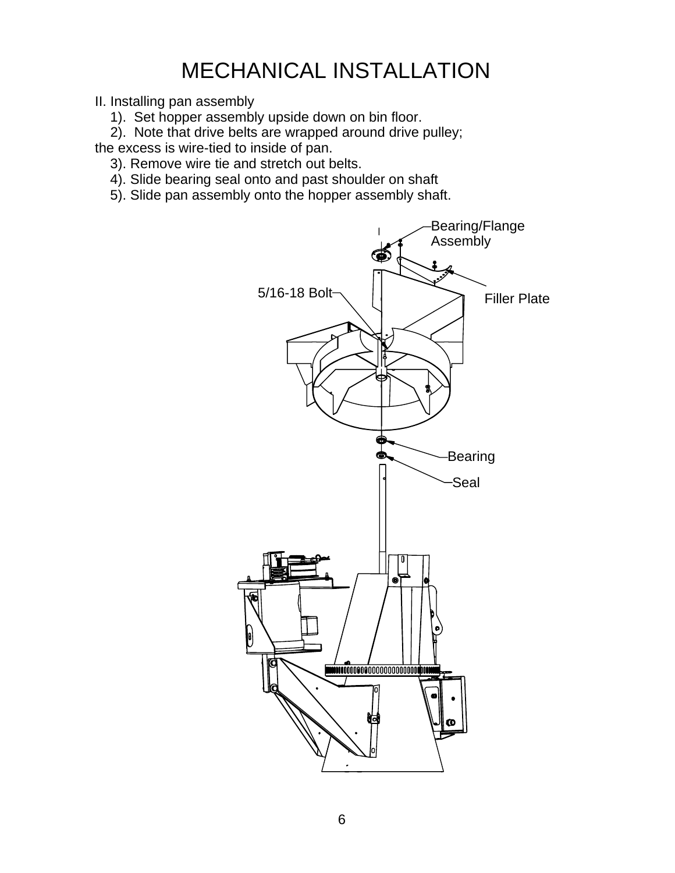II. Installing pan assembly

1). Set hopper assembly upside down on bin floor.

2). Note that drive belts are wrapped around drive pulley;

the excess is wire-tied to inside of pan.

- 3). Remove wire tie and stretch out belts.
- 4). Slide bearing seal onto and past shoulder on shaft
- 5). Slide pan assembly onto the hopper assembly shaft.

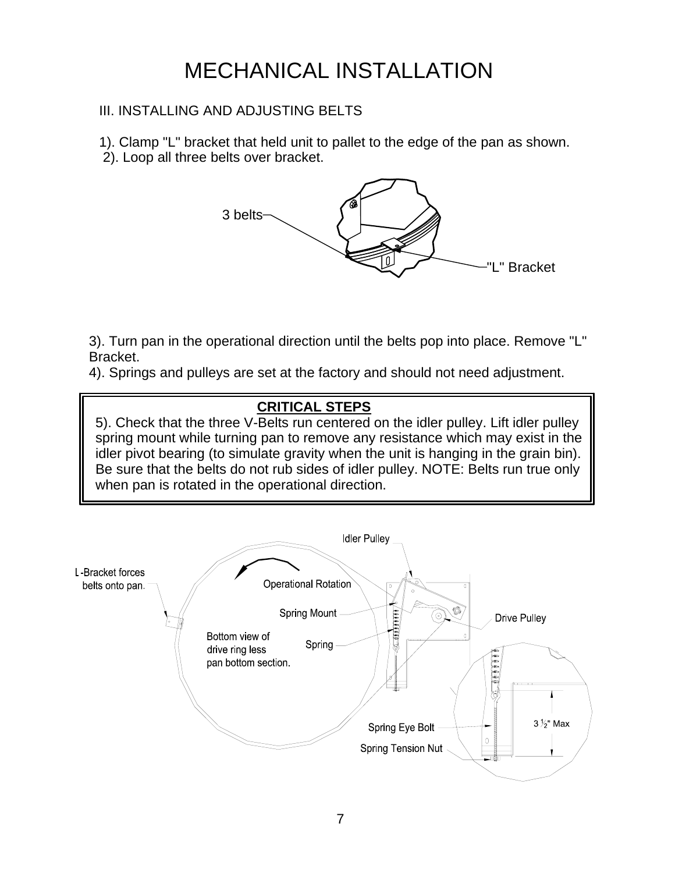#### III. INSTALLING AND ADJUSTING BELTS

- 1). Clamp "L" bracket that held unit to pallet to the edge of the pan as shown.
- 2). Loop all three belts over bracket.



3). Turn pan in the operational direction until the belts pop into place. Remove "L" Bracket.

4). Springs and pulleys are set at the factory and should not need adjustment.

#### **CRITICAL STEPS**

5). Check that the three V-Belts run centered on the idler pulley. Lift idler pulley spring mount while turning pan to remove any resistance which may exist in the idler pivot bearing (to simulate gravity when the unit is hanging in the grain bin). Be sure that the belts do not rub sides of idler pulley. NOTE: Belts run true only when pan is rotated in the operational direction.

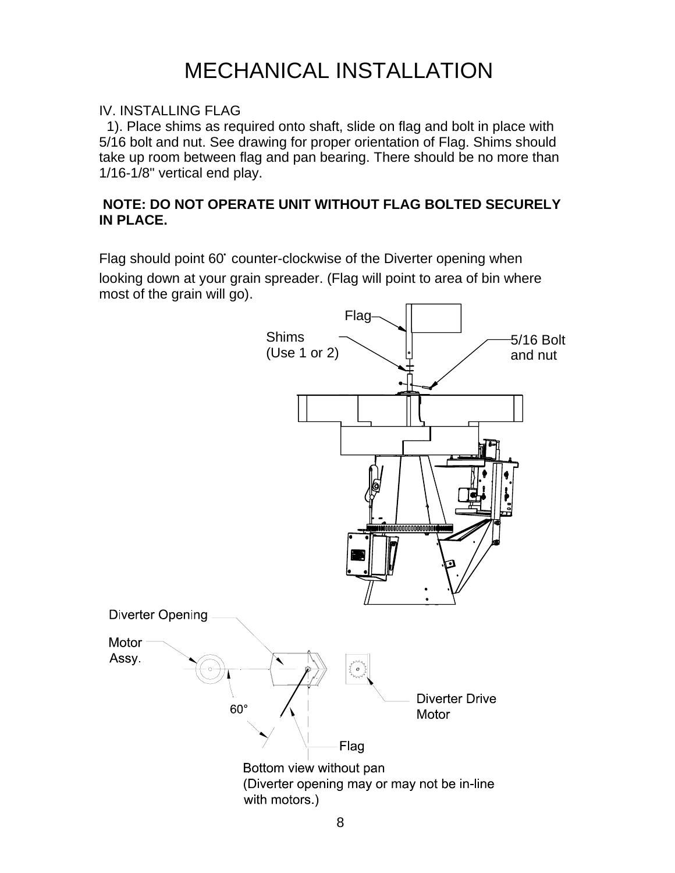#### IV. INSTALLING FLAG

 1). Place shims as required onto shaft, slide on flag and bolt in place with 5/16 bolt and nut. See drawing for proper orientation of Flag. Shims should take up room between flag and pan bearing. There should be no more than 1/16-1/8" vertical end play.

#### **NOTE: DO NOT OPERATE UNIT WITHOUT FLAG BOLTED SECURELY IN PLACE.**

Flag should point 60° counter-clockwise of the Diverter opening when looking down at your grain spreader. (Flag will point to area of bin where most of the grain will go).

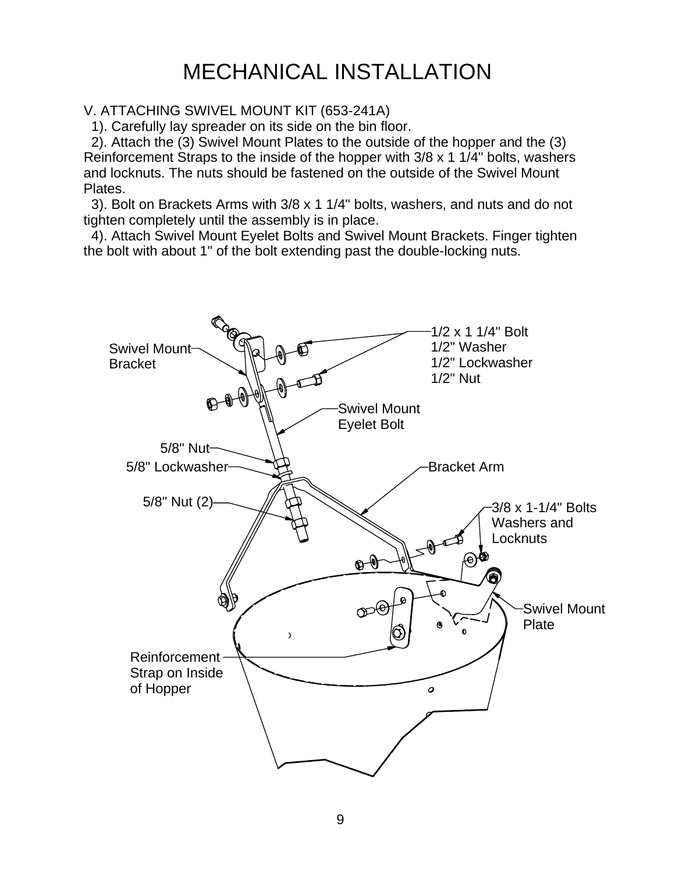#### V. ATTACHING SWIVEL MOUNT KIT (653-241A)

1). Carefully lay spreader on its side on the bin floor.

 2). Attach the (3) Swivel Mount Plates to the outside of the hopper and the (3) Reinforcement Straps to the inside of the hopper with 3/8 x 1 1/4" bolts, washers and locknuts. The nuts should be fastened on the outside of the Swivel Mount Plates.

 3). Bolt on Brackets Arms with 3/8 x 1 1/4" bolts, washers, and nuts and do not tighten completely until the assembly is in place.

 4). Attach Swivel Mount Eyelet Bolts and Swivel Mount Brackets. Finger tighten the bolt with about 1" of the bolt extending past the double-locking nuts.

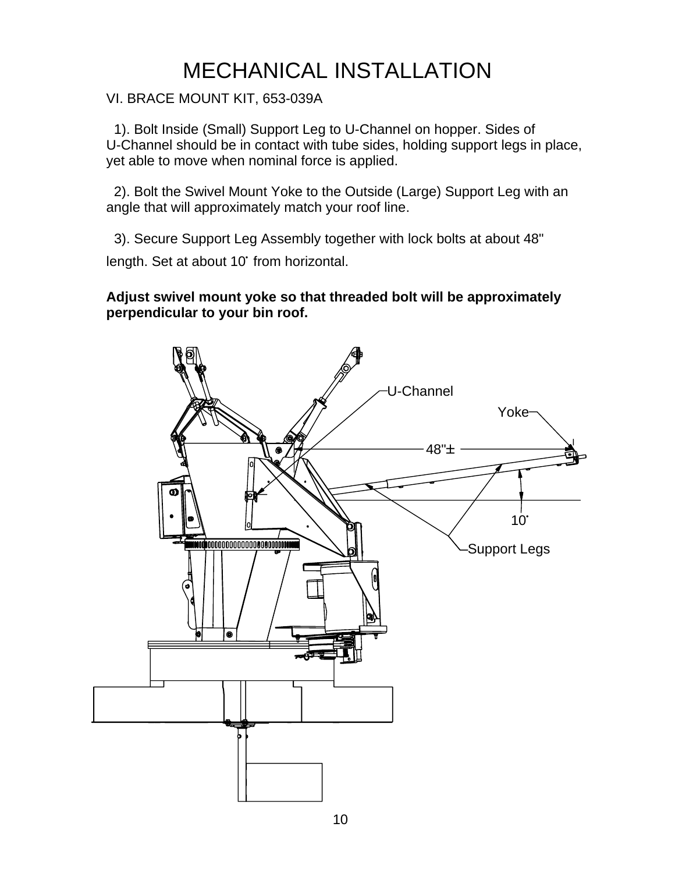VI. BRACE MOUNT KIT, 653-039A

 1). Bolt Inside (Small) Support Leg to U-Channel on hopper. Sides of U-Channel should be in contact with tube sides, holding support legs in place, yet able to move when nominal force is applied.

 2). Bolt the Swivel Mount Yoke to the Outside (Large) Support Leg with an angle that will approximately match your roof line.

 3). Secure Support Leg Assembly together with lock bolts at about 48" length. Set at about 10° from horizontal.

#### **Adjust swivel mount yoke so that threaded bolt will be approximately perpendicular to your bin roof.**

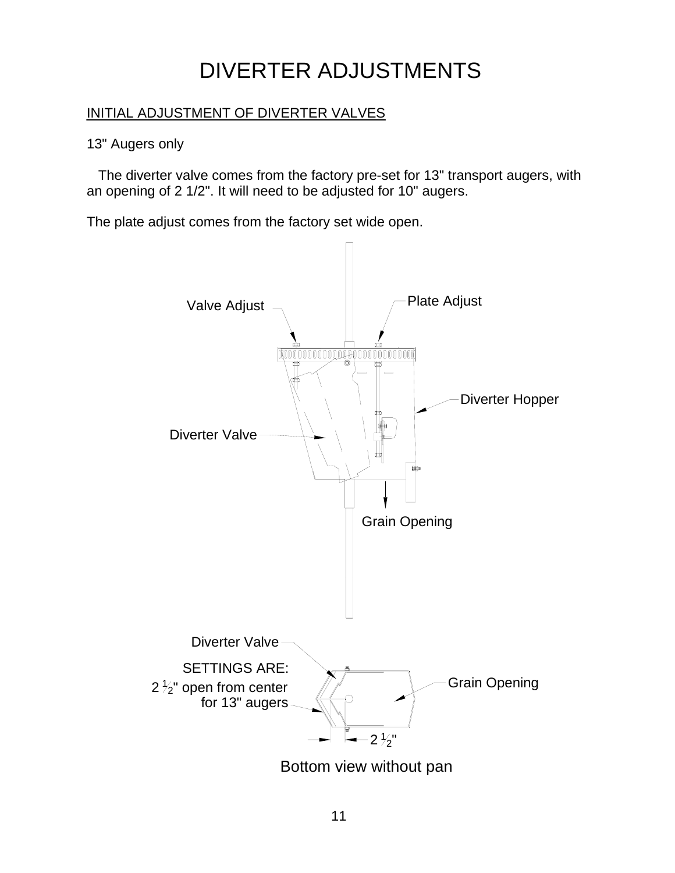### DIVERTER ADJUSTMENTS

#### INITIAL ADJUSTMENT OF DIVERTER VALVES

13" Augers only

 The diverter valve comes from the factory pre-set for 13" transport augers, with an opening of 2 1/2". It will need to be adjusted for 10" augers.

The plate adjust comes from the factory set wide open.

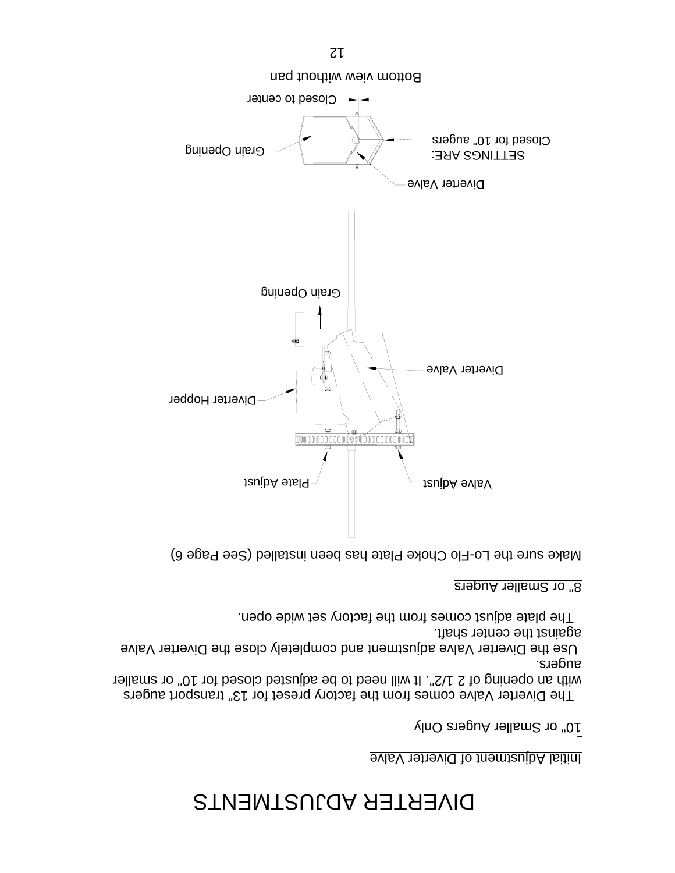### DIVERTER ADJUSTMENTS

#### <u>bolish Adjustment of Divertor Valve</u>

10" or Smaller Augers Only

The Diverter Valve comes from the factory preset for 13" transport augers with an opening of 2 1/2". It will need to be adjusted closed for 10" or smaller augers.

Use the Diverter Valve adjustment and completely close the Diverter Valve against the center shaft.

The plate adjust comes from the factory set wide open.

8" or Smaller Augers

Make sure the Lo-Flo Choke Plate has been installed (See Page 6)

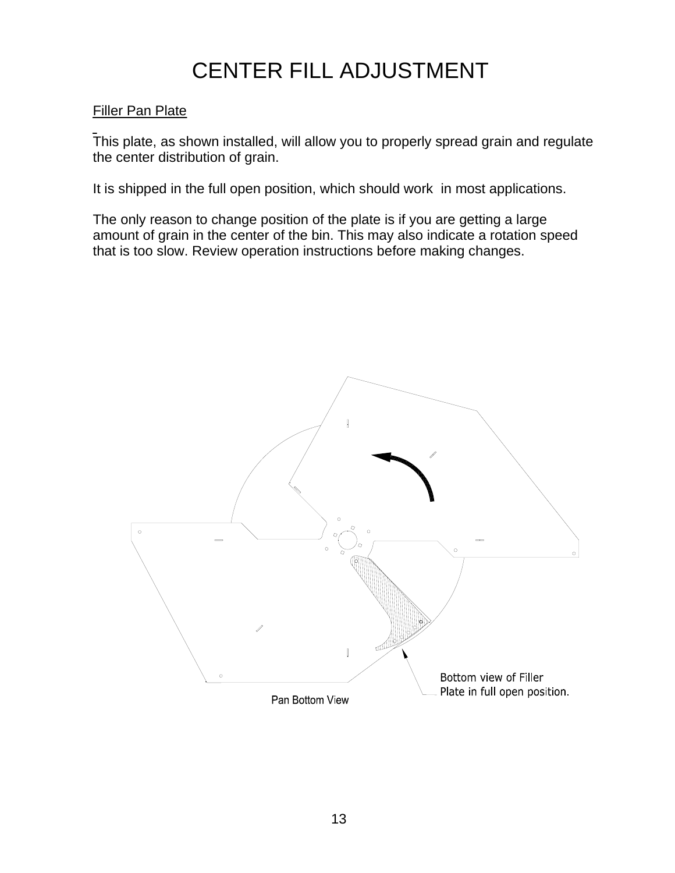### CENTER FILL ADJUSTMENT

#### Filler Pan Plate

This plate, as shown installed, will allow you to properly spread grain and regulate the center distribution of grain.

It is shipped in the full open position, which should work in most applications.

The only reason to change position of the plate is if you are getting a large amount of grain in the center of the bin. This may also indicate a rotation speed that is too slow. Review operation instructions before making changes.

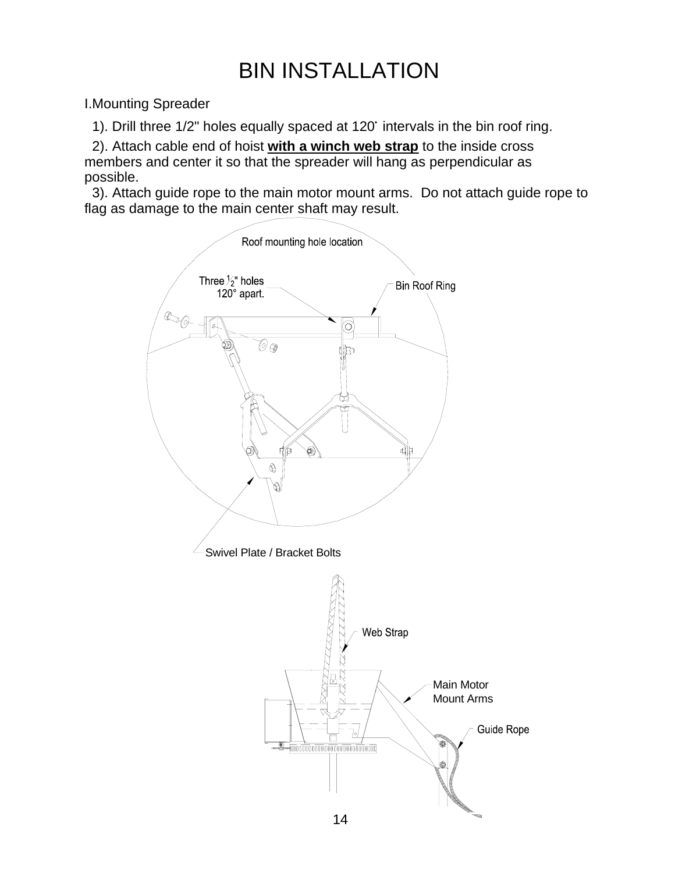I.Mounting Spreader

1). Drill three 1/2" holes equally spaced at 120~ intervals in the bin roof ring.

 2). Attach cable end of hoist **with a winch web strap** to the inside cross members and center it so that the spreader will hang as perpendicular as possible.

 3). Attach guide rope to the main motor mount arms. Do not attach guide rope to flag as damage to the main center shaft may result.

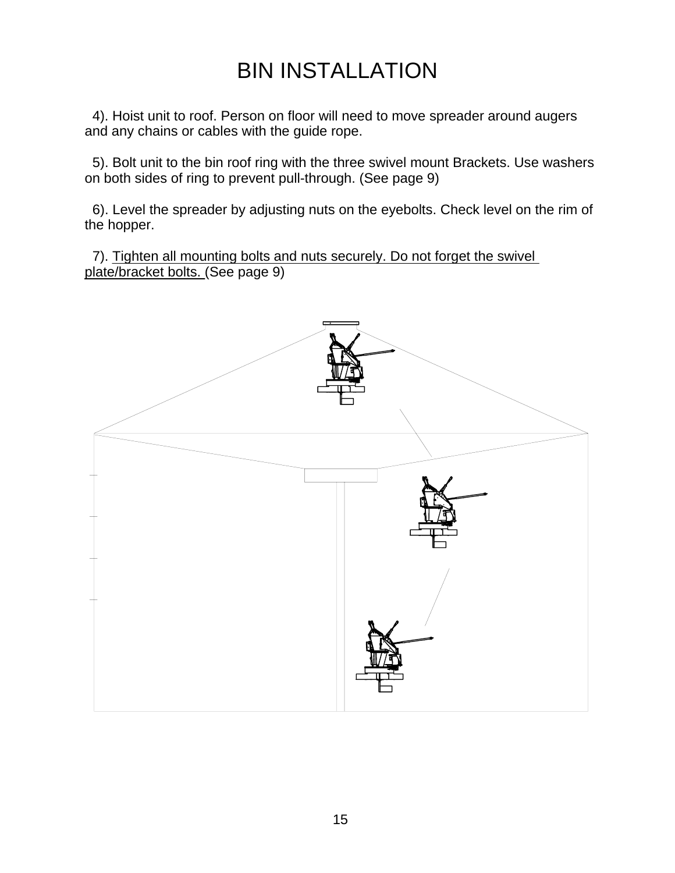### BIN INSTALLATION

 4). Hoist unit to roof. Person on floor will need to move spreader around augers and any chains or cables with the guide rope.

 5). Bolt unit to the bin roof ring with the three swivel mount Brackets. Use washers on both sides of ring to prevent pull-through. (See page 9)

 6). Level the spreader by adjusting nuts on the eyebolts. Check level on the rim of the hopper.

 7). Tighten all mounting bolts and nuts securely. Do not forget the swivel plate/bracket bolts. (See page 9)

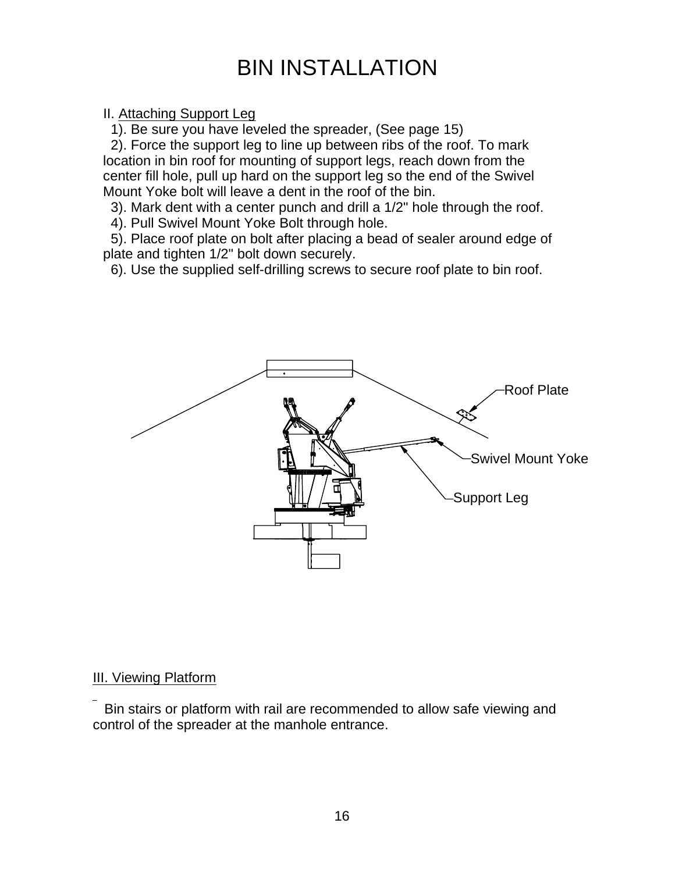### BIN INSTALLATION

#### II. Attaching Support Leg

1). Be sure you have leveled the spreader, (See page 15)

 2). Force the support leg to line up between ribs of the roof. To mark location in bin roof for mounting of support legs, reach down from the center fill hole, pull up hard on the support leg so the end of the Swivel Mount Yoke bolt will leave a dent in the roof of the bin.

3). Mark dent with a center punch and drill a 1/2" hole through the roof.

4). Pull Swivel Mount Yoke Bolt through hole.

 5). Place roof plate on bolt after placing a bead of sealer around edge of plate and tighten 1/2" bolt down securely.

6). Use the supplied self-drilling screws to secure roof plate to bin roof.



#### III. Viewing Platform

 Bin stairs or platform with rail are recommended to allow safe viewing and control of the spreader at the manhole entrance.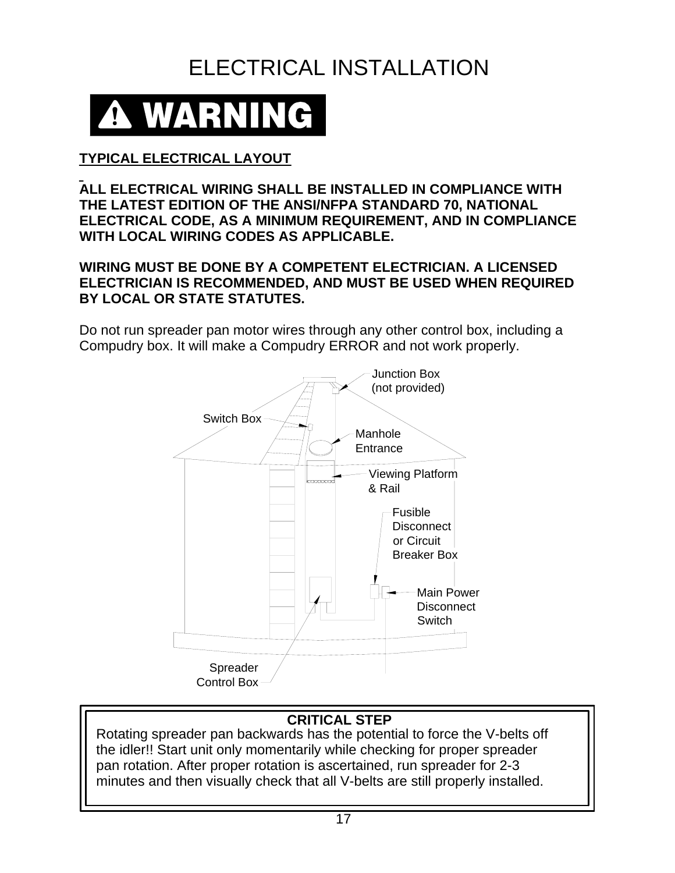

#### **TYPICAL ELECTRICAL LAYOUT**

**ALL ELECTRICAL WIRING SHALL BE INSTALLED IN COMPLIANCE WITH THE LATEST EDITION OF THE ANSI/NFPA STANDARD 70, NATIONAL ELECTRICAL CODE, AS A MINIMUM REQUIREMENT, AND IN COMPLIANCE WITH LOCAL WIRING CODES AS APPLICABLE.**

**WIRING MUST BE DONE BY A COMPETENT ELECTRICIAN. A LICENSED ELECTRICIAN IS RECOMMENDED, AND MUST BE USED WHEN REQUIRED BY LOCAL OR STATE STATUTES.**

Do not run spreader pan motor wires through any other control box, including a Compudry box. It will make a Compudry ERROR and not work properly.



#### **CRITICAL STEP**

Rotating spreader pan backwards has the potential to force the V-belts off the idler!! Start unit only momentarily while checking for proper spreader pan rotation. After proper rotation is ascertained, run spreader for 2-3 minutes and then visually check that all V-belts are still properly installed.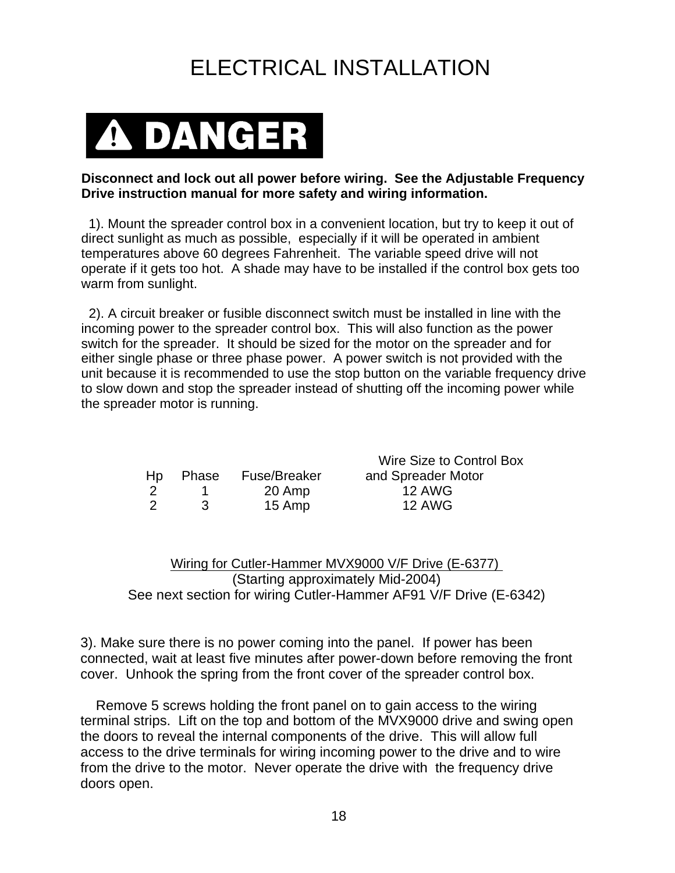# A DANGER

#### **Disconnect and lock out all power before wiring. See the Adjustable Frequency Drive instruction manual for more safety and wiring information.**

 1). Mount the spreader control box in a convenient location, but try to keep it out of direct sunlight as much as possible, especially if it will be operated in ambient temperatures above 60 degrees Fahrenheit. The variable speed drive will not operate if it gets too hot. A shade may have to be installed if the control box gets too warm from sunlight.

 2). A circuit breaker or fusible disconnect switch must be installed in line with the incoming power to the spreader control box. This will also function as the power switch for the spreader. It should be sized for the motor on the spreader and for either single phase or three phase power. A power switch is not provided with the unit because it is recommended to use the stop button on the variable frequency drive to slow down and stop the spreader instead of shutting off the incoming power while the spreader motor is running.

|    |       |              | Wire Size to Control Box |
|----|-------|--------------|--------------------------|
| Hp | Phase | Fuse/Breaker | and Spreader Motor       |
|    |       | 20 Amp       | 12 AWG                   |
|    | ્ર    | 15 Amp       | <b>12 AWG</b>            |

Wiring for Cutler-Hammer MVX9000 V/F Drive (E-6377) (Starting approximately Mid-2004) See next section for wiring Cutler-Hammer AF91 V/F Drive (E-6342)

3). Make sure there is no power coming into the panel. If power has been connected, wait at least five minutes after power-down before removing the front cover. Unhook the spring from the front cover of the spreader control box.

 Remove 5 screws holding the front panel on to gain access to the wiring terminal strips. Lift on the top and bottom of the MVX9000 drive and swing open the doors to reveal the internal components of the drive. This will allow full access to the drive terminals for wiring incoming power to the drive and to wire from the drive to the motor. Never operate the drive with the frequency drive doors open.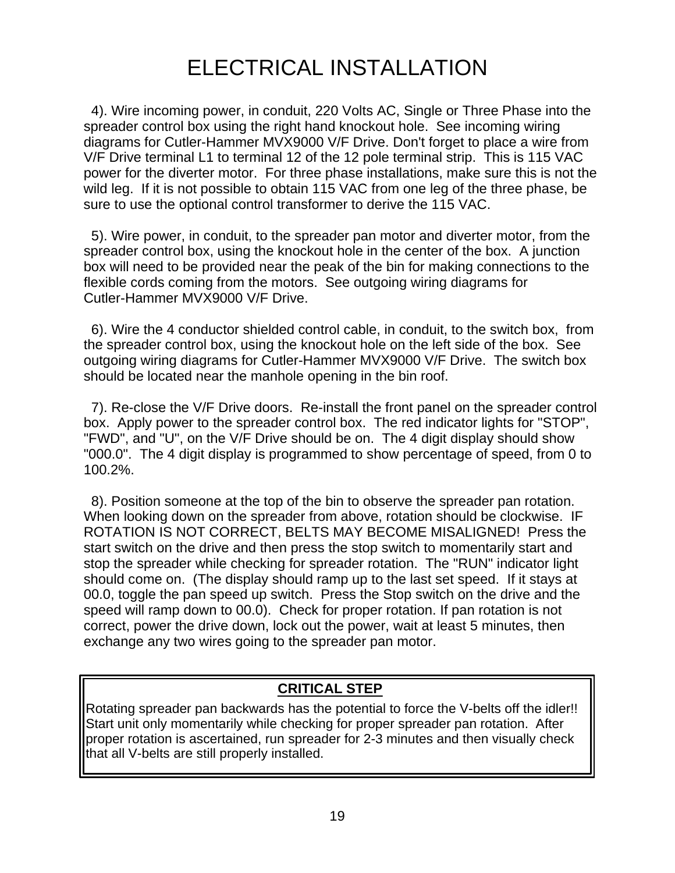4). Wire incoming power, in conduit, 220 Volts AC, Single or Three Phase into the spreader control box using the right hand knockout hole. See incoming wiring diagrams for Cutler-Hammer MVX9000 V/F Drive. Don't forget to place a wire from V/F Drive terminal L1 to terminal 12 of the 12 pole terminal strip. This is 115 VAC power for the diverter motor. For three phase installations, make sure this is not the wild leg. If it is not possible to obtain 115 VAC from one leg of the three phase, be sure to use the optional control transformer to derive the 115 VAC.

 5). Wire power, in conduit, to the spreader pan motor and diverter motor, from the spreader control box, using the knockout hole in the center of the box. A junction box will need to be provided near the peak of the bin for making connections to the flexible cords coming from the motors. See outgoing wiring diagrams for Cutler-Hammer MVX9000 V/F Drive.

 6). Wire the 4 conductor shielded control cable, in conduit, to the switch box, from the spreader control box, using the knockout hole on the left side of the box. See outgoing wiring diagrams for Cutler-Hammer MVX9000 V/F Drive. The switch box should be located near the manhole opening in the bin roof.

 7). Re-close the V/F Drive doors. Re-install the front panel on the spreader control box. Apply power to the spreader control box. The red indicator lights for "STOP", "FWD", and "U", on the V/F Drive should be on. The 4 digit display should show "000.0". The 4 digit display is programmed to show percentage of speed, from 0 to 100.2%.

 8). Position someone at the top of the bin to observe the spreader pan rotation. When looking down on the spreader from above, rotation should be clockwise. IF ROTATION IS NOT CORRECT, BELTS MAY BECOME MISALIGNED! Press the start switch on the drive and then press the stop switch to momentarily start and stop the spreader while checking for spreader rotation. The "RUN" indicator light should come on. (The display should ramp up to the last set speed. If it stays at 00.0, toggle the pan speed up switch. Press the Stop switch on the drive and the speed will ramp down to 00.0). Check for proper rotation. If pan rotation is not correct, power the drive down, lock out the power, wait at least 5 minutes, then exchange any two wires going to the spreader pan motor.

#### **CRITICAL STEP**

Rotating spreader pan backwards has the potential to force the V-belts off the idler!! Start unit only momentarily while checking for proper spreader pan rotation. After proper rotation is ascertained, run spreader for 2-3 minutes and then visually check that all V-belts are still properly installed.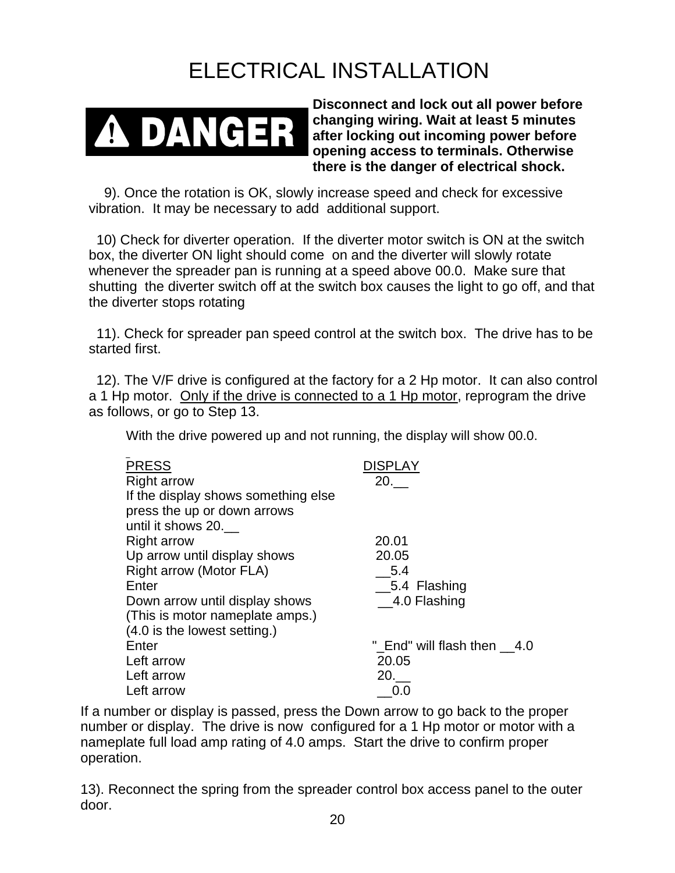

**Disconnect and lock out all power before changing wiring. Wait at least 5 minutes after locking out incoming power before opening access to terminals. Otherwise there is the danger of electrical shock.**

 9). Once the rotation is OK, slowly increase speed and check for excessive vibration. It may be necessary to add additional support.

 10) Check for diverter operation. If the diverter motor switch is ON at the switch box, the diverter ON light should come on and the diverter will slowly rotate whenever the spreader pan is running at a speed above 00.0. Make sure that shutting the diverter switch off at the switch box causes the light to go off, and that the diverter stops rotating

 11). Check for spreader pan speed control at the switch box. The drive has to be started first.

 12). The V/F drive is configured at the factory for a 2 Hp motor. It can also control a 1 Hp motor. Only if the drive is connected to a 1 Hp motor, reprogram the drive as follows, or go to Step 13.

With the drive powered up and not running, the display will show 00.0.

| <b>PRESS</b>                        | <b>DISPLAY</b>               |
|-------------------------------------|------------------------------|
| <b>Right arrow</b>                  | 20.                          |
| If the display shows something else |                              |
| press the up or down arrows         |                              |
| until it shows 20.                  |                              |
| <b>Right arrow</b>                  | 20.01                        |
| Up arrow until display shows        | 20.05                        |
| Right arrow (Motor FLA)             | 5.4                          |
| Enter                               | 5.4 Flashing                 |
| Down arrow until display shows      | $\_4.0$ Flashing             |
| (This is motor nameplate amps.)     |                              |
| (4.0 is the lowest setting.)        |                              |
| Enter                               | "_End" will flash then __4.0 |
| Left arrow                          | 20.05                        |
| Left arrow                          | 20.                          |
| Left arrow                          | 0.0                          |

If a number or display is passed, press the Down arrow to go back to the proper number or display. The drive is now configured for a 1 Hp motor or motor with a nameplate full load amp rating of 4.0 amps. Start the drive to confirm proper operation.

13). Reconnect the spring from the spreader control box access panel to the outer door.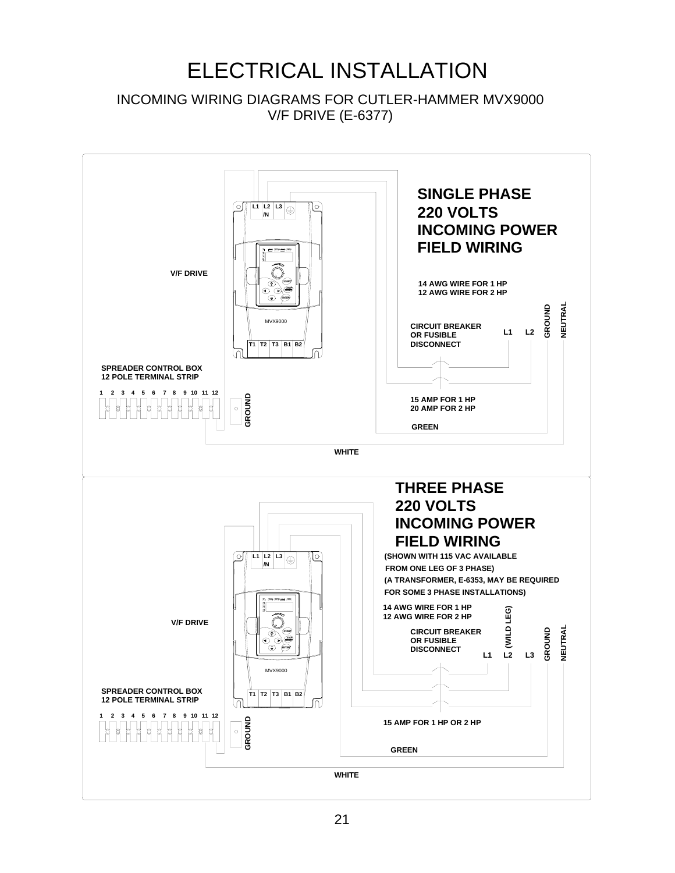INCOMING WIRING DIAGRAMS FOR CUTLER-HAMMER MVX9000 V/F DRIVE (E-6377)

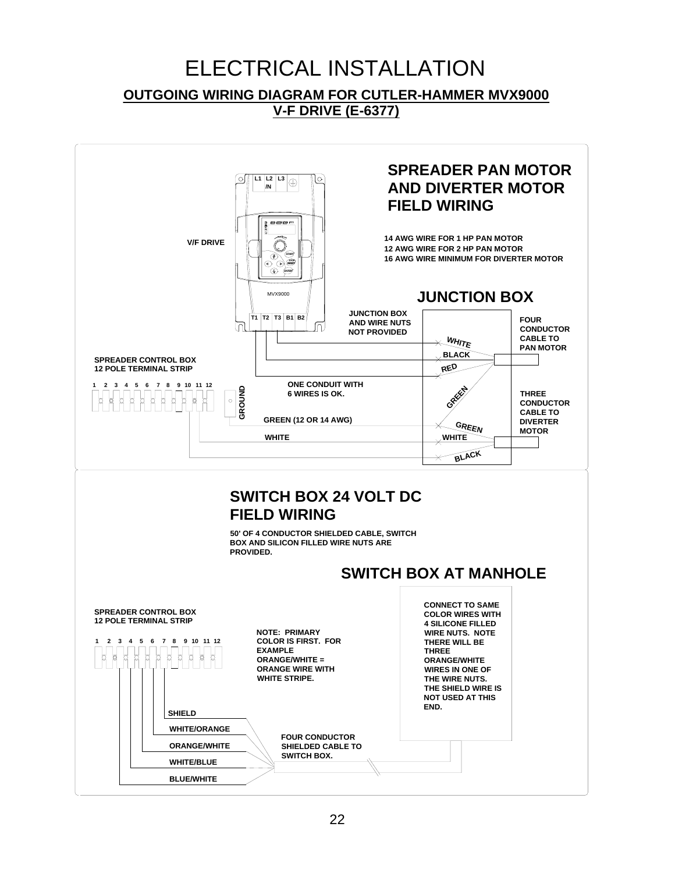#### ELECTRICAL INSTALLATION **OUTGOING WIRING DIAGRAM FOR CUTLER-HAMMER MVX9000 V-F DRIVE (E-6377)**

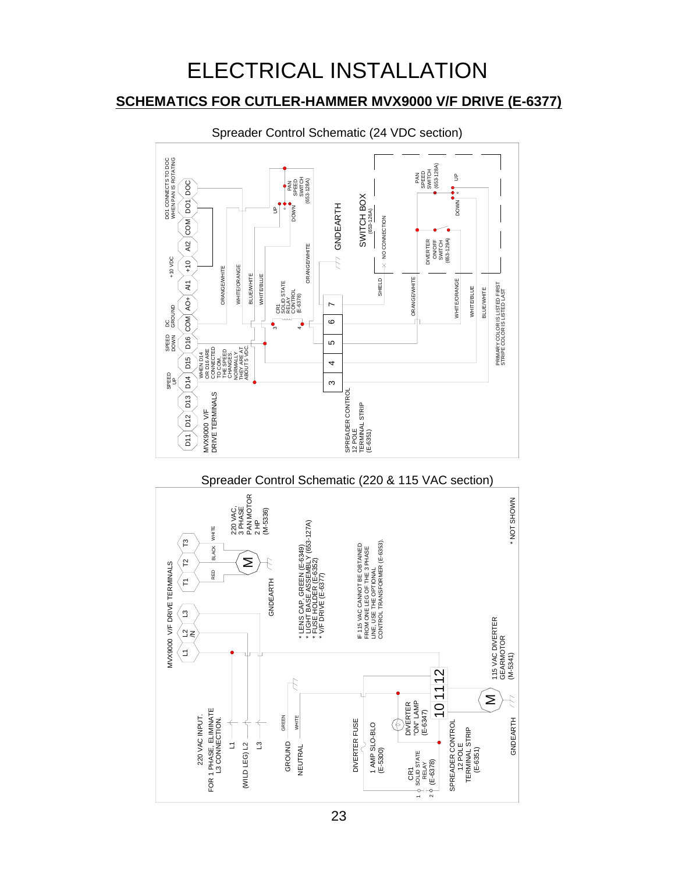#### **SCHEMATICS FOR CUTLER-HAMMER MVX9000 V/F DRIVE (E-6377)**



Spreader Control Schematic (24 VDC section)

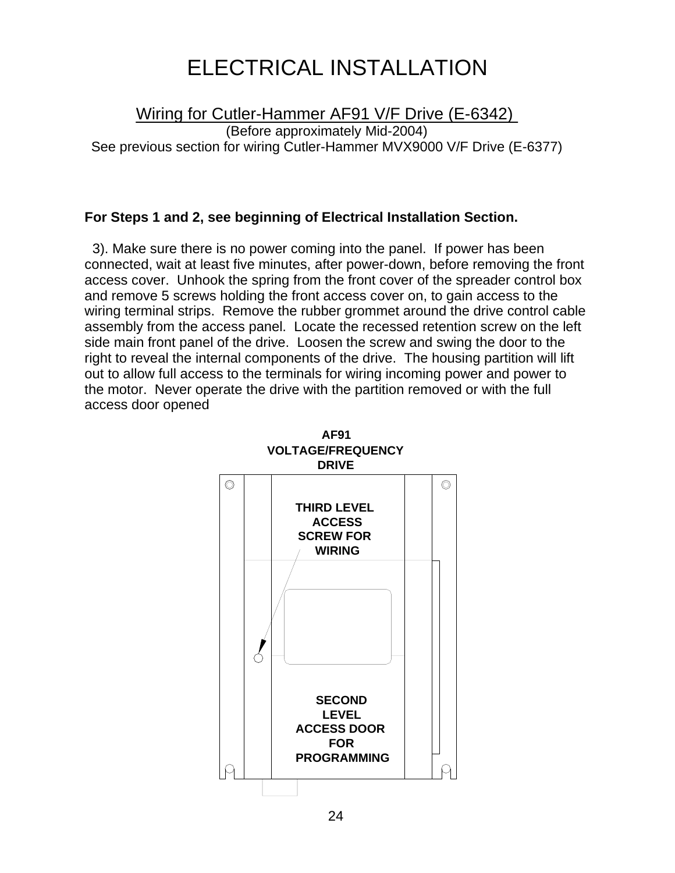Wiring for Cutler-Hammer AF91 V/F Drive (E-6342) (Before approximately Mid-2004) See previous section for wiring Cutler-Hammer MVX9000 V/F Drive (E-6377)

#### **For Steps 1 and 2, see beginning of Electrical Installation Section.**

 3). Make sure there is no power coming into the panel. If power has been connected, wait at least five minutes, after power-down, before removing the front access cover. Unhook the spring from the front cover of the spreader control box and remove 5 screws holding the front access cover on, to gain access to the wiring terminal strips. Remove the rubber grommet around the drive control cable assembly from the access panel. Locate the recessed retention screw on the left side main front panel of the drive. Loosen the screw and swing the door to the right to reveal the internal components of the drive. The housing partition will lift out to allow full access to the terminals for wiring incoming power and power to the motor. Never operate the drive with the partition removed or with the full access door opened



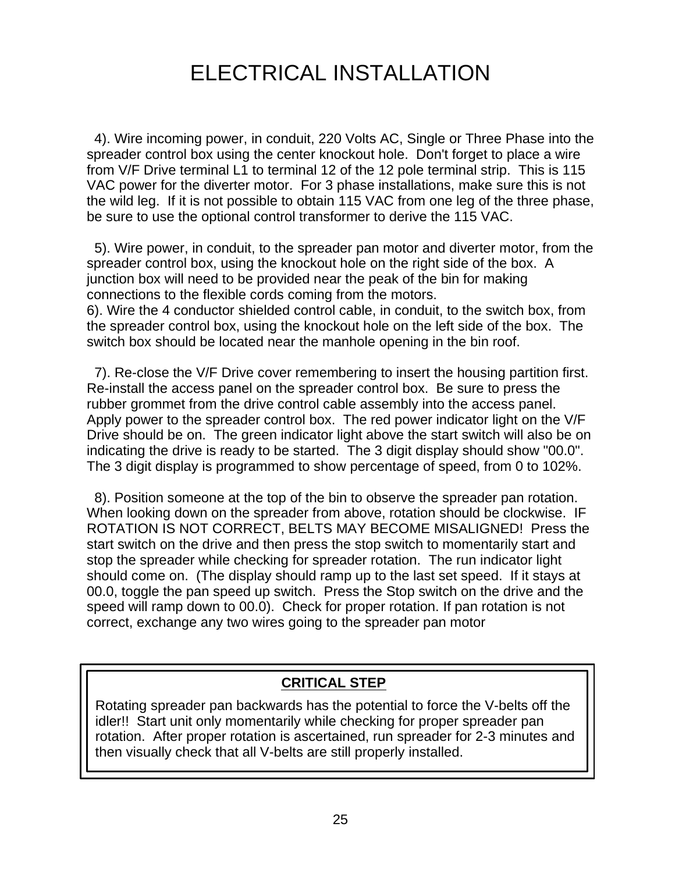4). Wire incoming power, in conduit, 220 Volts AC, Single or Three Phase into the spreader control box using the center knockout hole. Don't forget to place a wire from V/F Drive terminal L1 to terminal 12 of the 12 pole terminal strip. This is 115 VAC power for the diverter motor. For 3 phase installations, make sure this is not the wild leg. If it is not possible to obtain 115 VAC from one leg of the three phase, be sure to use the optional control transformer to derive the 115 VAC.

 5). Wire power, in conduit, to the spreader pan motor and diverter motor, from the spreader control box, using the knockout hole on the right side of the box. A junction box will need to be provided near the peak of the bin for making connections to the flexible cords coming from the motors.

6). Wire the 4 conductor shielded control cable, in conduit, to the switch box, from the spreader control box, using the knockout hole on the left side of the box. The switch box should be located near the manhole opening in the bin roof.

 7). Re-close the V/F Drive cover remembering to insert the housing partition first. Re-install the access panel on the spreader control box. Be sure to press the rubber grommet from the drive control cable assembly into the access panel. Apply power to the spreader control box. The red power indicator light on the V/F Drive should be on. The green indicator light above the start switch will also be on indicating the drive is ready to be started. The 3 digit display should show "00.0". The 3 digit display is programmed to show percentage of speed, from 0 to 102%.

 8). Position someone at the top of the bin to observe the spreader pan rotation. When looking down on the spreader from above, rotation should be clockwise. IF ROTATION IS NOT CORRECT, BELTS MAY BECOME MISALIGNED! Press the start switch on the drive and then press the stop switch to momentarily start and stop the spreader while checking for spreader rotation. The run indicator light should come on. (The display should ramp up to the last set speed. If it stays at 00.0, toggle the pan speed up switch. Press the Stop switch on the drive and the speed will ramp down to 00.0). Check for proper rotation. If pan rotation is not correct, exchange any two wires going to the spreader pan motor

#### **CRITICAL STEP**

Rotating spreader pan backwards has the potential to force the V-belts off the idler!! Start unit only momentarily while checking for proper spreader pan rotation. After proper rotation is ascertained, run spreader for 2-3 minutes and then visually check that all V-belts are still properly installed.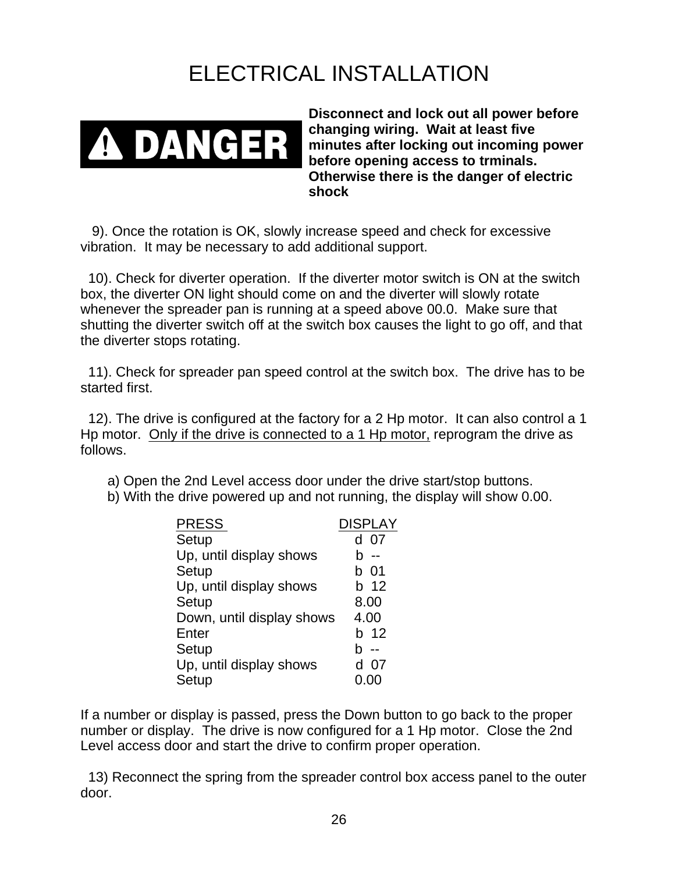

**Disconnect and lock out all power before changing wiring. Wait at least five minutes after locking out incoming power before opening access to trminals. Otherwise there is the danger of electric shock**

 9). Once the rotation is OK, slowly increase speed and check for excessive vibration. It may be necessary to add additional support.

 10). Check for diverter operation. If the diverter motor switch is ON at the switch box, the diverter ON light should come on and the diverter will slowly rotate whenever the spreader pan is running at a speed above 00.0. Make sure that shutting the diverter switch off at the switch box causes the light to go off, and that the diverter stops rotating.

 11). Check for spreader pan speed control at the switch box. The drive has to be started first.

 12). The drive is configured at the factory for a 2 Hp motor. It can also control a 1 Hp motor. Only if the drive is connected to a 1 Hp motor, reprogram the drive as follows.

- a) Open the 2nd Level access door under the drive start/stop buttons.
- b) With the drive powered up and not running, the display will show 0.00.

| <b>PRESS</b>              | <b>DISPLAY</b> |
|---------------------------|----------------|
| Setup                     | d 07           |
| Up, until display shows   | h              |
| Setup                     | b 01           |
| Up, until display shows   | b 12           |
| Setup                     | 8.00           |
| Down, until display shows | 4.00           |
| Enter                     | b 12           |
| Setup                     | h              |
| Up, until display shows   | 07             |
| Setup                     | 0.00           |

If a number or display is passed, press the Down button to go back to the proper number or display. The drive is now configured for a 1 Hp motor. Close the 2nd Level access door and start the drive to confirm proper operation.

 13) Reconnect the spring from the spreader control box access panel to the outer door.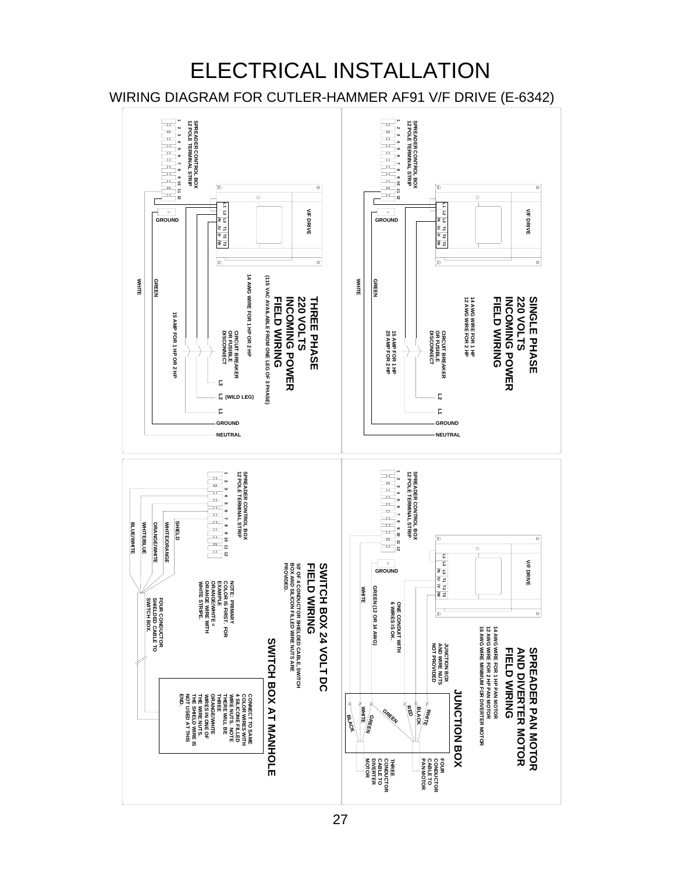